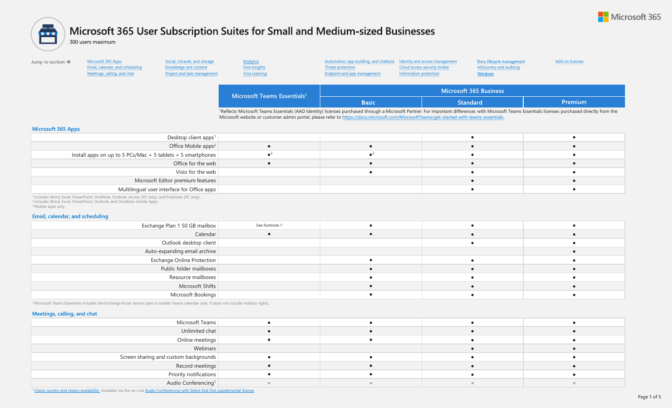

# <span id="page-0-0"></span>Microsoft 365 User Subscription Suites for Small and Medium-sized Businesses 會

300 users maximum

| Jump to section $\rightarrow$ | Microsoft 365 Apps<br>Email, calendar, and scheduling<br>Meetings, calling, and chat | Social, intranet, and storage<br>Knowledge and content<br>Project and task management | Analytics<br>Viva Insights<br>Viva Learning                                                                                                                                                                                                                                                                                                                | Automation, app building, and chatbots Identity and access management<br>Threat protection<br>Endpoint and app management | Cloud access security broker<br>Information protection | Data lifecycle management<br>eDiscovery and auditing<br><b>Windows</b> | Add-on licenses |
|-------------------------------|--------------------------------------------------------------------------------------|---------------------------------------------------------------------------------------|------------------------------------------------------------------------------------------------------------------------------------------------------------------------------------------------------------------------------------------------------------------------------------------------------------------------------------------------------------|---------------------------------------------------------------------------------------------------------------------------|--------------------------------------------------------|------------------------------------------------------------------------|-----------------|
|                               |                                                                                      |                                                                                       | Microsoft Teams Essentials <sup>1</sup>                                                                                                                                                                                                                                                                                                                    | Microsoft 365 Business                                                                                                    |                                                        |                                                                        |                 |
|                               |                                                                                      |                                                                                       |                                                                                                                                                                                                                                                                                                                                                            | <b>Basic</b>                                                                                                              | <b>Standard</b>                                        |                                                                        | <b>Premium</b>  |
|                               |                                                                                      |                                                                                       | <sup>1</sup> Reflects Microsoft Teams Essentials (AAD Identity) licenses purchased through a Microsoft Partner. For important differences with Microsoft Teams Essentials licenses purchased directly from the<br>Microsoft website or customer admin portal, please refer to https://docs.microsoft.com/MicrosoftTeams/get-started-with-teams-essentials. |                                                                                                                           |                                                        |                                                                        |                 |
| Microsoft 365 Apps            |                                                                                      |                                                                                       |                                                                                                                                                                                                                                                                                                                                                            |                                                                                                                           |                                                        |                                                                        |                 |

| Desktop client apps <sup>1</sup>                                    |  |  |
|---------------------------------------------------------------------|--|--|
| Office Mobile apps <sup>2</sup>                                     |  |  |
| Install apps on up to 5 PCs/Mac + 5 tablets + 5 smartphones $\vert$ |  |  |
| Office for the web                                                  |  |  |
| Visio for the web                                                   |  |  |
| Microsoft Editor premium features                                   |  |  |
| Multilingual user interface for Office apps                         |  |  |
|                                                                     |  |  |

<sup>1</sup> Includes Word, Excel, PowerPoint, OneNote, Outlook, Access (PC only), and Publisher (PC only). <sup>2</sup> Includes Word, Excel, PowerPoint, Outlook, and OneNote mobile Apps. <sup>3</sup> Mobile apps only.

#### Email, calendar, and scheduling

| Exchange Plan 1 50 GB mailbox | See footnote 1 |  |  |
|-------------------------------|----------------|--|--|
| Calendar                      |                |  |  |
| Outlook desktop client        |                |  |  |
| Auto-expanding email archive  |                |  |  |
| Exchange Online Protection    |                |  |  |
| Public folder mailboxes       |                |  |  |
| Resource mailboxes            |                |  |  |
| Microsoft Shifts              |                |  |  |
| Microsoft Bookings            |                |  |  |

<sup>1</sup>Microsoft Teams Essentials includes the Exchange Kiosk service plan to enable Teams calendar only. It does not include mailbox rights.

#### Meetings, calling, and chat

| Microsoft Teams                       |  |  |
|---------------------------------------|--|--|
| Unlimited chat                        |  |  |
| Online meetings                       |  |  |
| Webinars                              |  |  |
| Screen sharing and custom backgrounds |  |  |
| Record meetings                       |  |  |
| Priority notifications                |  |  |
| Audio Conferencing <sup>1</sup>       |  |  |

<sup>1</sup>[Check country and region availability.](https://docs.microsoft.com/microsoftteams/country-and-region-availability-for-audio-conferencing-and-calling-plans) Available via the no-cost [Audio Conferencing with Select Dial Out supplemental license.](#page-4-0)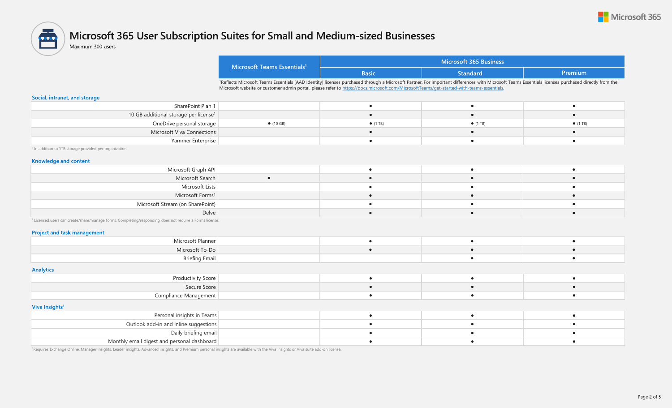

### <span id="page-1-0"></span>Microsoft 365 User Subscription Suites for Small and Medium-sized Businesses 會

Maximum 300 users

| Microsoft Teams Essentials <sup>1</sup> | Microsoft 365 Business |                 |                 |  |
|-----------------------------------------|------------------------|-----------------|-----------------|--|
|                                         | Basic                  | <b>Standard</b> | <b>\Premium</b> |  |

1Reflects Microsoft Teams Essentials (AAD Identity) licenses purchased through a Microsoft Partner. For important differences with Microsoft Teams Essentials licenses purchased directly from the Microsoft website or customer admin portal, please refer to [https://docs.microsoft.com/MicrosoftTeams/get-started-with-teams-essentials.](https://docs.microsoft.com/MicrosoftTeams/get-started-with-teams-essentials)

#### Social, intranet, and storage

| SharePoint Plan 1                                 |                   |                  |                  |                  |
|---------------------------------------------------|-------------------|------------------|------------------|------------------|
| 10 GB additional storage per license <sup>1</sup> |                   |                  |                  |                  |
| OneDrive personal storage                         | $\bullet$ (10 GB) | $\bullet$ (1 TB) | $\bullet$ (1 TB) | $\bullet$ (1 TB) |
| Microsoft Viva Connections                        |                   |                  |                  |                  |
| Yammer Enterprise                                 |                   |                  |                  |                  |

<sup>1</sup> In addition to 1TB storage provided per organization.

#### **Knowledge and content**

| Microsoft Graph API              |  |  |
|----------------------------------|--|--|
| Microsoft Search                 |  |  |
| Microsoft Lists                  |  |  |
| Microsoft Forms <sup>1</sup>     |  |  |
| Microsoft Stream (on SharePoint) |  |  |
| Delve                            |  |  |

<sup>1</sup> Licensed users can create/share/manage forms. Completing/responding does not require a Forms license.

#### **Project and task management**

| Microsoft Planne |  |  |
|------------------|--|--|
| Microsoft To-Do  |  |  |
|                  |  |  |

#### **Analytics**

| .<br>$ -$<br>the contract of the contract of<br>Productivity Score |  |  |
|--------------------------------------------------------------------|--|--|
| Secure Score                                                       |  |  |
| compliance<br>11 I C I I L                                         |  |  |

#### Viva Insights<sup>1</sup>

| Personal insights in Teams                  |  |  |
|---------------------------------------------|--|--|
| Outlook add-in and inline suggestions       |  |  |
| Daily briefing email                        |  |  |
| Monthly email digest and personal dashboard |  |  |

<sup>1</sup>Requires Exchange Online. Manager insights, Leader insights, Advanced insights, and Premium personal insights are available with the Viva Insights or Viva suite add-on license.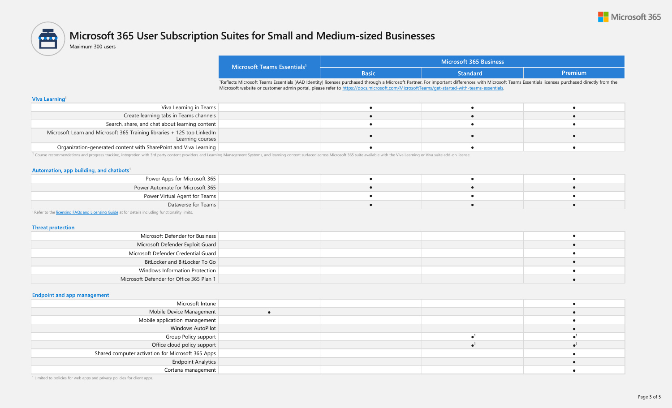

# <span id="page-2-0"></span>Microsoft 365 User Subscription Suites for Small and Medium-sized Businesses 魯

Maximum 300 users

| Microsoft Teams Essentials <sup>1</sup> | Microsoft 365 Business |                 |         |  |
|-----------------------------------------|------------------------|-----------------|---------|--|
|                                         | Basic                  | <b>Standard</b> | Premium |  |

1Reflects Microsoft Teams Essentials (AAD Identity) licenses purchased through a Microsoft Partner. For important differences with Microsoft Teams Essentials licenses purchased directly from the Microsoft website or customer admin portal, please refer to [https://docs.microsoft.com/MicrosoftTeams/get-started-with-teams-essentials.](https://docs.microsoft.com/MicrosoftTeams/get-started-with-teams-essentials)

#### **Viva Learning<sup>1</sup>**

| Viva Learning in Teams                                                                      |  |  |
|---------------------------------------------------------------------------------------------|--|--|
| Create learning tabs in Teams channels                                                      |  |  |
| Search, share, and chat about learning content                                              |  |  |
| Microsoft Learn and Microsoft 365 Training libraries + 125 top LinkedIn<br>Learning courses |  |  |
| Organization-generated content with SharePoint and Viva Learning                            |  |  |

<sup>1</sup> Course recommendations and progress tracking, integration with 3rd party content providers and Learning Management Systems, and learning content surfaced across Microsoft 365 suite available with the Viva Learning or V

#### Automation, app building, and chatbots<sup>1</sup>

| Power Apps for Microsoft 365     |  |  |
|----------------------------------|--|--|
| Power Automate for Microsoft 365 |  |  |
| Power Virtual Agent for Teams    |  |  |
| Dataverse for Teams              |  |  |

<sup>1</sup> Refer to the [licensing FAQs and Licensing Guide](https://docs.microsoft.com/power-platform/admin/powerapps-flow-licensing-faq) at for details including functionality limits.

#### **Threat protection**

| Microsoft Defender for Business          |  |  |
|------------------------------------------|--|--|
| Microsoft Defender Exploit Guard         |  |  |
| Microsoft Defender Credential Guard      |  |  |
| BitLocker and BitLocker To Go            |  |  |
| Windows Information Protection           |  |  |
| Microsoft Defender for Office 365 Plan 1 |  |  |

#### **Endpoint and app management**

| Microsoft Intune                                  |  |  |
|---------------------------------------------------|--|--|
| Mobile Device Management                          |  |  |
| Mobile application management                     |  |  |
| Windows AutoPilot                                 |  |  |
| Group Policy support                              |  |  |
| Office cloud policy support                       |  |  |
| Shared computer activation for Microsoft 365 Apps |  |  |
| <b>Endpoint Analytics</b>                         |  |  |
| Cortana management                                |  |  |

<sup>1</sup> Limited to policies for web apps and privacy policies for client apps.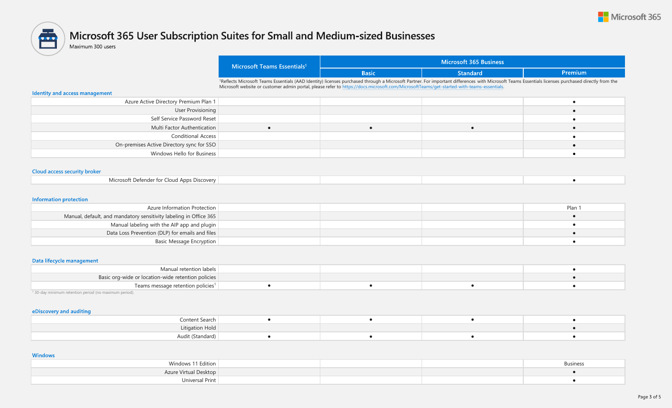

# <span id="page-3-0"></span> $\blacksquare$ Microsoft 365 User Subscription Suites for Small and Medium-sized Businesses

Maximum 300 users

| Microsoft 365 Business<br>Microsoft Teams Essentials <sup>1</sup>                                                                                                                                  |  |  |  |  |  |  |
|----------------------------------------------------------------------------------------------------------------------------------------------------------------------------------------------------|--|--|--|--|--|--|
| Premium<br><b>Standard</b><br><b>Basic</b>                                                                                                                                                         |  |  |  |  |  |  |
| 1Reflects Microsoft Teams Essentials (AAD Identity) licenses purchased through a Microsoft Partner. For important differences with Microsoft Teams Essentials licenses purchased directly from the |  |  |  |  |  |  |
| Microsoft website or customer admin portal, please refer to https://docs.microsoft.com/MicrosoftTeams/get-started-with-teams-essentials.                                                           |  |  |  |  |  |  |

#### Identity and access management

| Azure Active Directory Premium Plan 1     |  |  |
|-------------------------------------------|--|--|
| User Provisioning                         |  |  |
| Self Service Password Reset               |  |  |
| Multi Factor Authentication               |  |  |
| Conditional Access                        |  |  |
| On-premises Active Directory sync for SSO |  |  |
| Windows Hello for Business                |  |  |

### **Cloud access security broker**

|--|

#### **Information protection**

| Azure Information Protection                                      |  | Plan |
|-------------------------------------------------------------------|--|------|
| Manual, default, and mandatory sensitivity labeling in Office 365 |  |      |
| Manual labeling with the AIP app and plugin                       |  |      |
| Data Loss Prevention (DLP) for emails and files                   |  |      |
| Basic Message Encryption                                          |  |      |

### Data lifecycle management

| Manual retention labels                            |  |  |
|----------------------------------------------------|--|--|
| Basic org-wide or location-wide retention policies |  |  |
| Teams message retention policies <sup>1</sup>      |  |  |

<sup>1</sup> 30-day minimum retention period (no maximum period).

#### eDiscovery and auditing

| Content Search   |  |  |
|------------------|--|--|
| Litigation Hold  |  |  |
| Audit (Standard) |  |  |

#### **Windows**

| Windows 11 Edition    |  | <b>Business</b> |
|-----------------------|--|-----------------|
| Azure Virtual Desktop |  |                 |
| Iniversal Print       |  |                 |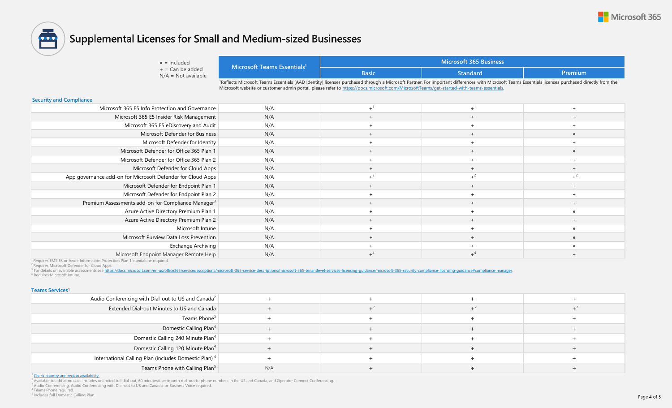

<span id="page-4-0"></span>

# **Supplemental Licenses for Small and Medium-sized Businesses**

 $\bullet$  = Included  $+$  = Can be added  $N/A = Not available$ 

| Microsoft Teams Essentials <sup>1</sup> |              | Microsoft 365 Business |         |
|-----------------------------------------|--------------|------------------------|---------|
|                                         | <b>Basic</b> | <b>Standard</b>        | Premium |

1Reflects Microsoft Teams Essentials (AAD Identity) licenses purchased through a Microsoft Partner. For important differences with Microsoft Teams Essentials licenses purchased directly from the Microsoft website or customer admin portal, please refer to [https://docs.microsoft.com/MicrosoftTeams/get-started-with-teams-essentials.](https://docs.microsoft.com/MicrosoftTeams/get-started-with-teams-essentials)

#### **Security and Compliance**

| Microsoft 365 E5 Info Protection and Governance                | N/A |  |  |
|----------------------------------------------------------------|-----|--|--|
| Microsoft 365 E5 Insider Risk Management                       | N/A |  |  |
| Microsoft 365 E5 eDiscovery and Audit                          | N/A |  |  |
| Microsoft Defender for Business                                | N/A |  |  |
| Microsoft Defender for Identity                                | N/A |  |  |
| Microsoft Defender for Office 365 Plan 1                       | N/A |  |  |
| Microsoft Defender for Office 365 Plan 2                       | N/A |  |  |
| Microsoft Defender for Cloud Apps                              | N/A |  |  |
| App governance add-on for Microsoft Defender for Cloud Apps    | N/A |  |  |
| Microsoft Defender for Endpoint Plan 1                         | N/A |  |  |
| Microsoft Defender for Endpoint Plan 2                         | N/A |  |  |
| Premium Assessments add-on for Compliance Manager <sup>3</sup> | N/A |  |  |
| Azure Active Directory Premium Plan 1                          | N/A |  |  |
| Azure Active Directory Premium Plan 2                          | N/A |  |  |
| Microsoft Intune                                               | N/A |  |  |
| Microsoft Purview Data Loss Prevention                         | N/A |  |  |
| Exchange Archiving                                             | N/A |  |  |
| Microsoft Endpoint Manager Remote Help                         | N/A |  |  |

<sup>1</sup> Requires EMS E3 or Azure Information Protection Plan 1 standalone required.

<sup>2</sup> Requires Microsoft Defender for Cloud Apps.

<sup>3</sup> For details on available assessments see https://docs.microsoft.com/en-us/office365/servicedescriptions/microsoft-365-service-descriptions/microsoft-365-service-descriptions/microsoft-365-service-descriptions/microsoft <sup>4</sup> Requires Microsoft Intune.

#### **Teams Services**<sup>1</sup>

| Audio Conferencing with Dial-out to US and Canada <sup>2</sup>   |     |  |  |
|------------------------------------------------------------------|-----|--|--|
| Extended Dial-out Minutes to US and Canada                       |     |  |  |
| Teams Phone <sup>3</sup>                                         |     |  |  |
| Domestic Calling Plan <sup>4</sup>                               |     |  |  |
| Domestic Calling 240 Minute Plan <sup>4</sup>                    |     |  |  |
| Domestic Calling 120 Minute Plan <sup>4</sup>                    |     |  |  |
| International Calling Plan (includes Domestic Plan) <sup>4</sup> |     |  |  |
| Teams Phone with Calling Plan <sup>5</sup>                       | N/A |  |  |

<sup>1</sup> [Check country and region availability.](https://docs.microsoft.com/en-us/microsoftteams/country-and-region-availability-for-audio-conferencing-and-calling-plans/)

<sup>2</sup> Available to add at no cost. Includes unlimited toll dial-out, 60 minutes/user/month dial-out to phone numbers in the US and Canada, and Operator Connect Conferencing.

<sup>3</sup> Audio Conferencing, Audio Conferencing with Dial-out to US and Canada, or Business Voice required.

<sup>4</sup>Teams Phone required. <sup>5</sup> Includes full Domestic Calling Plan.